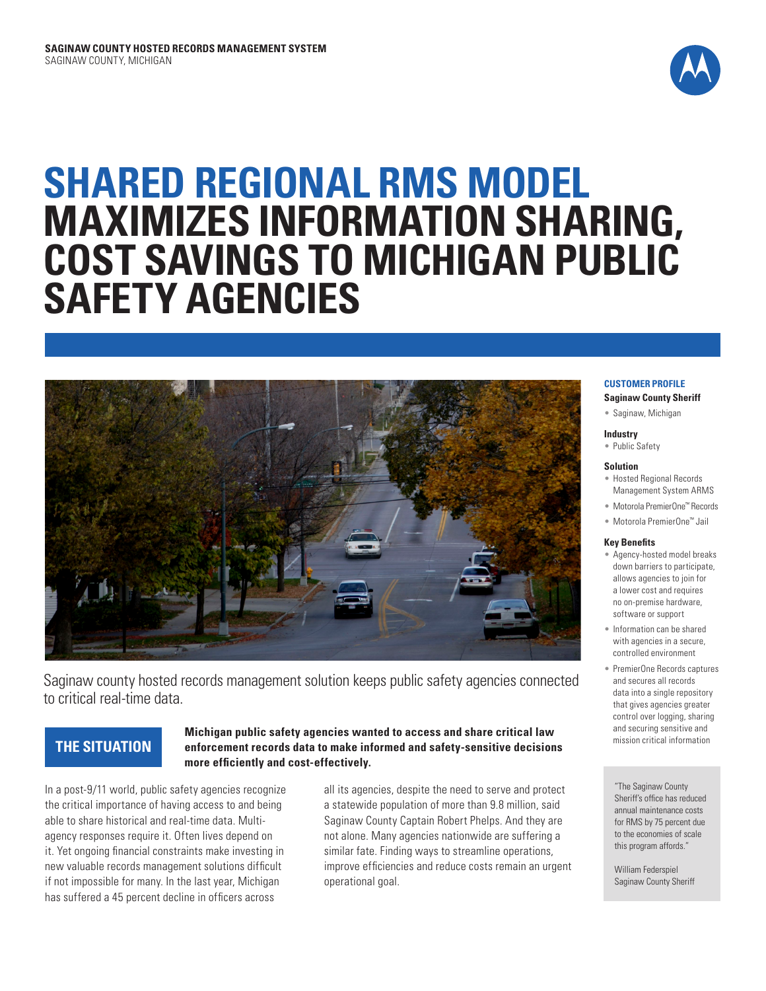

# **SHARED REGIONAL RMS MODEL MAXIMIZES INFORMATION SHARING, COST SAVINGS TO MICHIGAN PUBLIC SAFETY AGENCIES**



Saginaw county hosted records management solution keeps public safety agencies connected to critical real-time data.

# **THE SITUATION**

## **Michigan public safety agencies wanted to access and share critical law enforcement records data to make informed and safety-sensitive decisions more efficiently and cost-effectively.**

In a post-9/11 world, public safety agencies recognize the critical importance of having access to and being able to share historical and real-time data. Multiagency responses require it. Often lives depend on it. Yet ongoing financial constraints make investing in new valuable records management solutions difficult if not impossible for many. In the last year, Michigan has suffered a 45 percent decline in officers across

all its agencies, despite the need to serve and protect a statewide population of more than 9.8 million, said Saginaw County Captain Robert Phelps. And they are not alone. Many agencies nationwide are suffering a similar fate. Finding ways to streamline operations, improve efficiencies and reduce costs remain an urgent operational goal.

#### **CUSTOMER PROFILE**

**Saginaw County Sheriff**

• Saginaw, Michigan

#### **Industry**

## • Public Safety

#### **Solution**

- Hosted Regional Records Management System ARMS
- Motorola PremierOne™ Records
- Motorola PremierOne™ Jail

#### **Key Benefits**

- Agency-hosted model breaks down barriers to participate, allows agencies to join for a lower cost and requires no on-premise hardware, software or support
- Information can be shared with agencies in a secure, controlled environment
- PremierOne Records captures and secures all records data into a single repository that gives agencies greater control over logging, sharing and securing sensitive and mission critical information

"The Saginaw County Sheriff's office has reduced annual maintenance costs for RMS by 75 percent due to the economies of scale this program affords."

William Federspiel Saginaw County Sheriff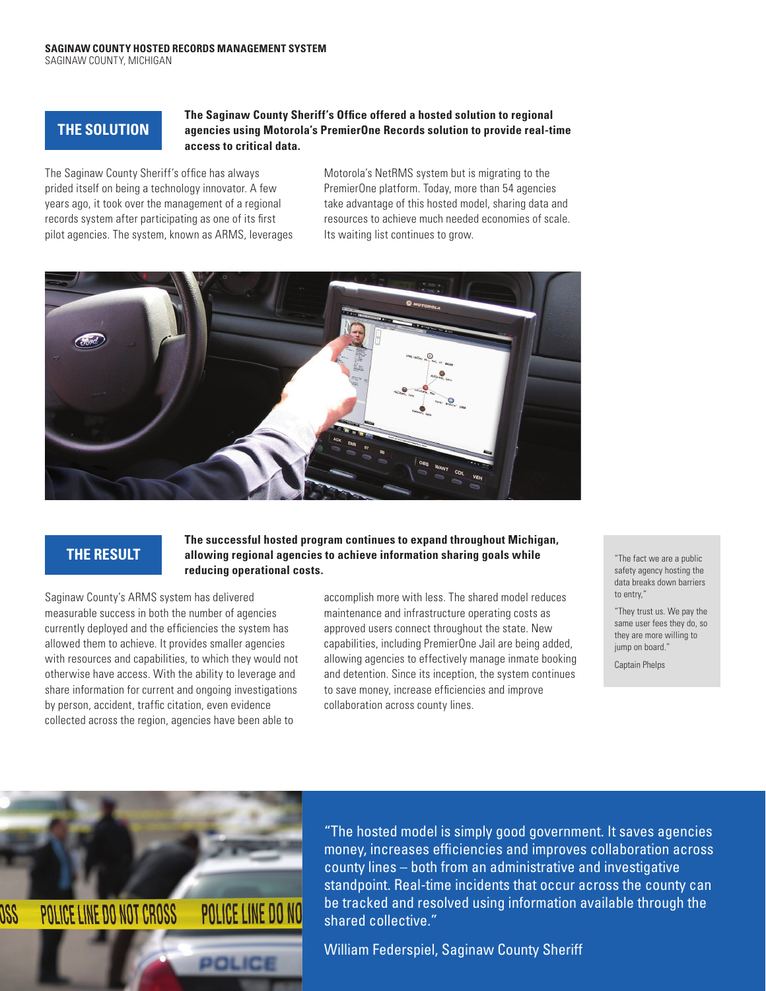# **THE SOLUTION**

## **The Saginaw County Sheriff's Office offered a hosted solution to regional agencies using Motorola's PremierOne Records solution to provide real-time access to critical data.**

The Saginaw County Sheriff's office has always prided itself on being a technology innovator. A few years ago, it took over the management of a regional records system after participating as one of its first pilot agencies. The system, known as ARMS, leverages Motorola's NetRMS system but is migrating to the PremierOne platform. Today, more than 54 agencies take advantage of this hosted model, sharing data and resources to achieve much needed economies of scale. Its waiting list continues to grow.



# **THE RESULT**

### **The successful hosted program continues to expand throughout Michigan, allowing regional agencies to achieve information sharing goals while reducing operational costs.**

Saginaw County's ARMS system has delivered measurable success in both the number of agencies currently deployed and the efficiencies the system has allowed them to achieve. It provides smaller agencies with resources and capabilities, to which they would not otherwise have access. With the ability to leverage and share information for current and ongoing investigations by person, accident, traffic citation, even evidence collected across the region, agencies have been able to

accomplish more with less. The shared model reduces maintenance and infrastructure operating costs as approved users connect throughout the state. New capabilities, including PremierOne Jail are being added, allowing agencies to effectively manage inmate booking and detention. Since its inception, the system continues to save money, increase efficiencies and improve collaboration across county lines.

"The fact we are a public safety agency hosting the data breaks down barriers to entry,"

"They trust us. We pay the same user fees they do, so they are more willing to jump on board."

Captain Phelps



"The hosted model is simply good government. It saves agencies money, increases efficiencies and improves collaboration across county lines – both from an administrative and investigative standpoint. Real-time incidents that occur across the county can be tracked and resolved using information available through the shared collective."

William Federspiel, Saginaw County Sheriff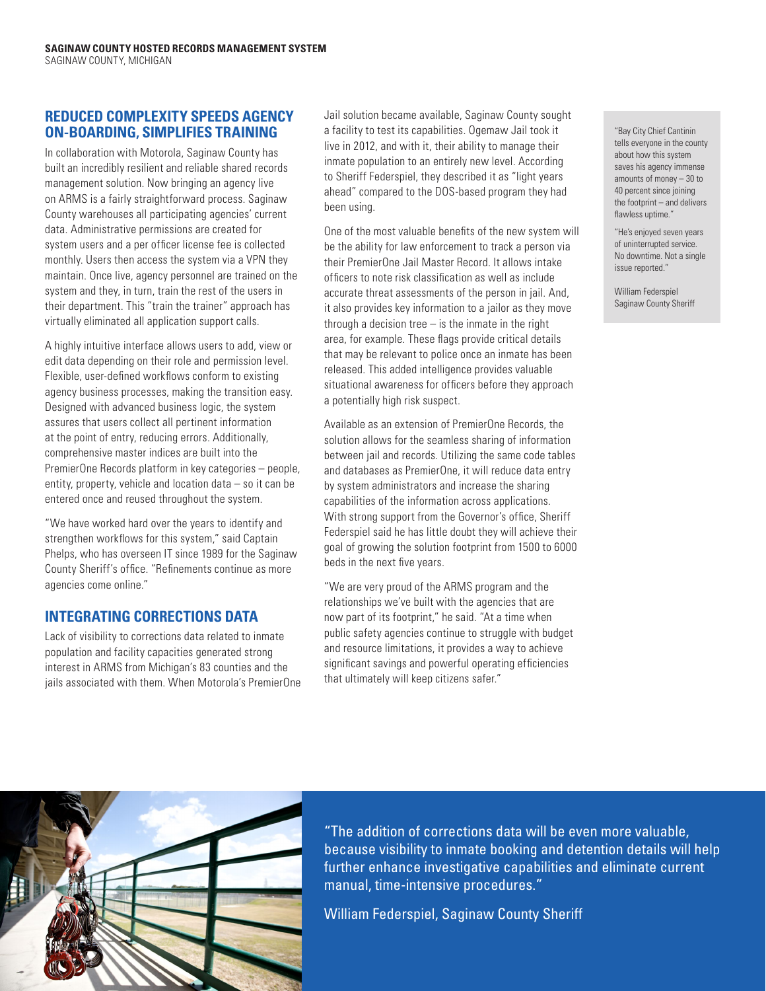# **REDUCED COMPLEXITY SPEEDS AGENCY ON-BOARDING, SIMPLIFIES TRAINING**

In collaboration with Motorola, Saginaw County has built an incredibly resilient and reliable shared records management solution. Now bringing an agency live on ARMS is a fairly straightforward process. Saginaw County warehouses all participating agencies' current data. Administrative permissions are created for system users and a per officer license fee is collected monthly. Users then access the system via a VPN they maintain. Once live, agency personnel are trained on the system and they, in turn, train the rest of the users in their department. This "train the trainer" approach has virtually eliminated all application support calls.

A highly intuitive interface allows users to add, view or edit data depending on their role and permission level. Flexible, user-defined workflows conform to existing agency business processes, making the transition easy. Designed with advanced business logic, the system assures that users collect all pertinent information at the point of entry, reducing errors. Additionally, comprehensive master indices are built into the PremierOne Records platform in key categories – people, entity, property, vehicle and location data – so it can be entered once and reused throughout the system.

"We have worked hard over the years to identify and strengthen workflows for this system," said Captain Phelps, who has overseen IT since 1989 for the Saginaw County Sheriff's office. "Refinements continue as more agencies come online."

# **INTEGRATING CORRECTIONS DATA**

Lack of visibility to corrections data related to inmate population and facility capacities generated strong interest in ARMS from Michigan's 83 counties and the jails associated with them. When Motorola's PremierOne Jail solution became available, Saginaw County sought a facility to test its capabilities. Ogemaw Jail took it live in 2012, and with it, their ability to manage their inmate population to an entirely new level. According to Sheriff Federspiel, they described it as "light years ahead" compared to the DOS-based program they had been using.

One of the most valuable benefits of the new system will be the ability for law enforcement to track a person via their PremierOne Jail Master Record. It allows intake officers to note risk classification as well as include accurate threat assessments of the person in jail. And, it also provides key information to a jailor as they move through a decision tree  $-$  is the inmate in the right area, for example. These flags provide critical details that may be relevant to police once an inmate has been released. This added intelligence provides valuable situational awareness for officers before they approach a potentially high risk suspect.

Available as an extension of PremierOne Records, the solution allows for the seamless sharing of information between jail and records. Utilizing the same code tables and databases as PremierOne, it will reduce data entry by system administrators and increase the sharing capabilities of the information across applications. With strong support from the Governor's office, Sheriff Federspiel said he has little doubt they will achieve their goal of growing the solution footprint from 1500 to 6000 beds in the next five years.

"We are very proud of the ARMS program and the relationships we've built with the agencies that are now part of its footprint," he said. "At a time when public safety agencies continue to struggle with budget and resource limitations, it provides a way to achieve significant savings and powerful operating efficiencies that ultimately will keep citizens safer."

"Bay City Chief Cantinin tells everyone in the county about how this system saves his agency immense amounts of money – 30 to 40 percent since joining the footprint – and delivers flawless uptime."

"He's enjoyed seven years of uninterrupted service. No downtime. Not a single issue reported."

William Federspiel Saginaw County Sheriff



"The addition of corrections data will be even more valuable, because visibility to inmate booking and detention details will help further enhance investigative capabilities and eliminate current manual, time-intensive procedures."

William Federspiel, Saginaw County Sheriff